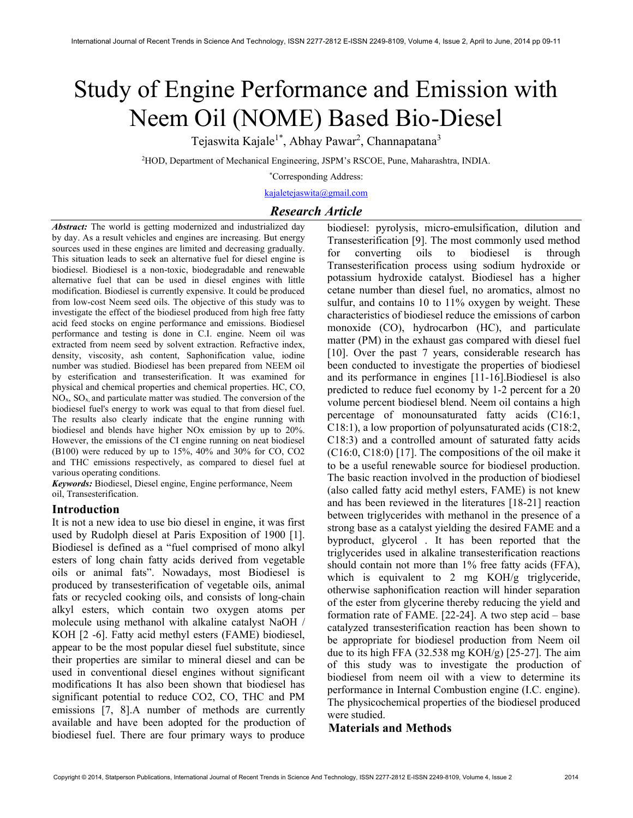# Study of Engine Performance and Emission with Neem Oil (NOME) Based Bio-Diesel

Tejaswita Kajale<sup>1\*</sup>, Abhay Pawar<sup>2</sup>, Channapatana<sup>3</sup>

<sup>2</sup>HOD, Department of Mechanical Engineering, JSPM's RSCOE, Pune, Maharashtra, INDIA.

\*Corresponding Address:

kajaletejaswita@gmail.com

# Research Article

Abstract: The world is getting modernized and industrialized day by day. As a result vehicles and engines are increasing. But energy sources used in these engines are limited and decreasing gradually. This situation leads to seek an alternative fuel for diesel engine is biodiesel. Biodiesel is a non-toxic, biodegradable and renewable alternative fuel that can be used in diesel engines with little modification. Biodiesel is currently expensive. It could be produced from low-cost Neem seed oils. The objective of this study was to investigate the effect of the biodiesel produced from high free fatty acid feed stocks on engine performance and emissions. Biodiesel performance and testing is done in C.I. engine. Neem oil was extracted from neem seed by solvent extraction. Refractive index, density, viscosity, ash content, Saphonification value, iodine number was studied. Biodiesel has been prepared from NEEM oil by esterification and transesterification. It was examined for physical and chemical properties and chemical properties. HC, CO,  $NO<sub>x</sub>$ ,  $SO<sub>x</sub>$ , and particulate matter was studied. The conversion of the biodiesel fuel's energy to work was equal to that from diesel fuel. The results also clearly indicate that the engine running with biodiesel and blends have higher NOx emission by up to 20%. However, the emissions of the CI engine running on neat biodiesel (B100) were reduced by up to 15%, 40% and 30% for CO, CO2 and THC emissions respectively, as compared to diesel fuel at various operating conditions.

Keywords: Biodiesel, Diesel engine, Engine performance, Neem oil, Transesterification.

# Introduction

It is not a new idea to use bio diesel in engine, it was first used by Rudolph diesel at Paris Exposition of 1900 [1]. Biodiesel is defined as a "fuel comprised of mono alkyl esters of long chain fatty acids derived from vegetable oils or animal fats". Nowadays, most Biodiesel is produced by transesterification of vegetable oils, animal fats or recycled cooking oils, and consists of long-chain alkyl esters, which contain two oxygen atoms per molecule using methanol with alkaline catalyst NaOH / KOH [2 -6]. Fatty acid methyl esters (FAME) biodiesel, appear to be the most popular diesel fuel substitute, since their properties are similar to mineral diesel and can be used in conventional diesel engines without significant modifications It has also been shown that biodiesel has significant potential to reduce CO2, CO, THC and PM emissions [7, 8].A number of methods are currently available and have been adopted for the production of biodiesel fuel. There are four primary ways to produce

biodiesel: pyrolysis, micro-emulsification, dilution and Transesterification [9]. The most commonly used method for converting oils to biodiesel is through Transesterification process using sodium hydroxide or potassium hydroxide catalyst. Biodiesel has a higher cetane number than diesel fuel, no aromatics, almost no sulfur, and contains 10 to 11% oxygen by weight. These characteristics of biodiesel reduce the emissions of carbon monoxide (CO), hydrocarbon (HC), and particulate matter (PM) in the exhaust gas compared with diesel fuel [10]. Over the past 7 years, considerable research has been conducted to investigate the properties of biodiesel and its performance in engines [11-16].Biodiesel is also predicted to reduce fuel economy by 1-2 percent for a 20 volume percent biodiesel blend. Neem oil contains a high percentage of monounsaturated fatty acids (C16:1, C18:1), a low proportion of polyunsaturated acids (C18:2, C18:3) and a controlled amount of saturated fatty acids (C16:0, C18:0) [17]. The compositions of the oil make it to be a useful renewable source for biodiesel production. The basic reaction involved in the production of biodiesel (also called fatty acid methyl esters, FAME) is not knew and has been reviewed in the literatures [18-21] reaction between triglycerides with methanol in the presence of a strong base as a catalyst yielding the desired FAME and a byproduct, glycerol . It has been reported that the triglycerides used in alkaline transesterification reactions should contain not more than 1% free fatty acids (FFA), which is equivalent to 2 mg KOH/g triglyceride, otherwise saphonification reaction will hinder separation of the ester from glycerine thereby reducing the yield and formation rate of FAME. [22-24]. A two step acid – base catalyzed transesterification reaction has been shown to be appropriate for biodiesel production from Neem oil due to its high FFA (32.538 mg KOH/g) [25-27]. The aim of this study was to investigate the production of biodiesel from neem oil with a view to determine its performance in Internal Combustion engine (I.C. engine). The physicochemical properties of the biodiesel produced were studied.

### Materials and Methods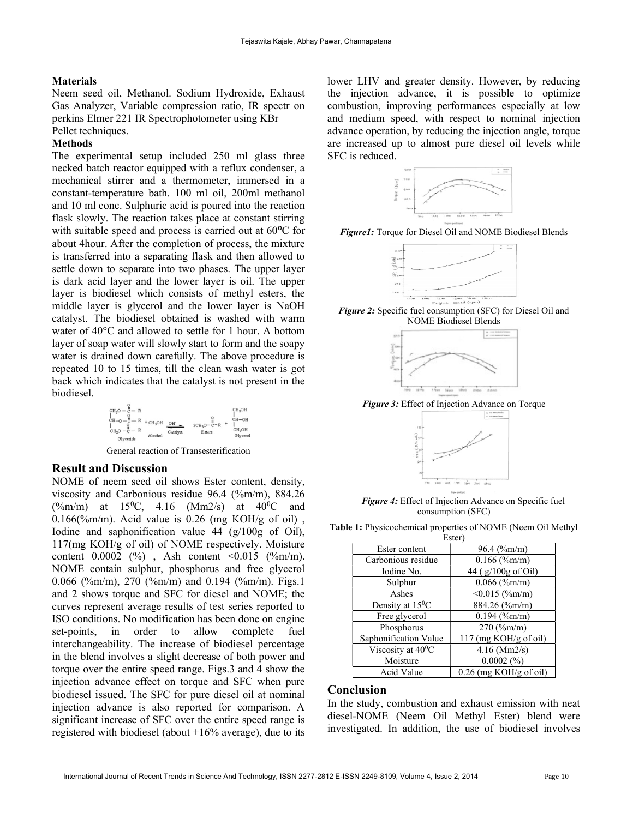# Materials

Neem seed oil, Methanol. Sodium Hydroxide, Exhaust Gas Analyzer, Variable compression ratio, IR spectr on perkins Elmer 221 IR Spectrophotometer using KBr Pellet techniques.

# Methods

The experimental setup included 250 ml glass three necked batch reactor equipped with a reflux condenser, a mechanical stirrer and a thermometer, immersed in a constant-temperature bath. 100 ml oil, 200ml methanol and 10 ml conc. Sulphuric acid is poured into the reaction flask slowly. The reaction takes place at constant stirring with suitable speed and process is carried out at  $60^{\circ}$ C for about 4hour. After the completion of process, the mixture is transferred into a separating flask and then allowed to settle down to separate into two phases. The upper layer is dark acid layer and the lower layer is oil. The upper layer is biodiesel which consists of methyl esters, the middle layer is glycerol and the lower layer is NaOH catalyst. The biodiesel obtained is washed with warm water of 40°C and allowed to settle for 1 hour. A bottom layer of soap water will slowly start to form and the soapy water is drained down carefully. The above procedure is repeated 10 to 15 times, till the clean wash water is got back which indicates that the catalyst is not present in the biodiesel.



General reaction of Transesterification

# Result and Discussion

NOME of neem seed oil shows Ester content, density, viscosity and Carbonious residue 96.4 (%m/m), 884.26  $(\frac{\%m}{m})$  at 15<sup>0</sup>C, 4.16 (Mm2/s) at 40<sup>0</sup>C and  $0.166$  (%m/m). Acid value is 0.26 (mg KOH/g of oil), Iodine and saphonification value 44 (g/100g of Oil), 117(mg KOH/g of oil) of NOME respectively. Moisture content  $0.0002$  (%), Ash content <0.015 (%m/m). NOME contain sulphur, phosphorus and free glycerol 0.066 (%m/m), 270 (%m/m) and 0.194 (%m/m). Figs.1 and 2 shows torque and SFC for diesel and NOME; the curves represent average results of test series reported to ISO conditions. No modification has been done on engine set-points, in order to allow complete fuel interchangeability. The increase of biodiesel percentage in the blend involves a slight decrease of both power and torque over the entire speed range. Figs.3 and 4 show the injection advance effect on torque and SFC when pure biodiesel issued. The SFC for pure diesel oil at nominal injection advance is also reported for comparison. A significant increase of SFC over the entire speed range is registered with biodiesel (about +16% average), due to its

lower LHV and greater density. However, by reducing the injection advance, it is possible to optimize combustion, improving performances especially at low and medium speed, with respect to nominal injection advance operation, by reducing the injection angle, torque are increased up to almost pure diesel oil levels while SFC is reduced.



Figure1: Torque for Diesel Oil and NOME Biodiesel Blends



Figure 2: Specific fuel consumption (SFC) for Diesel Oil and NOME Biodiesel Blends



Figure 3: Effect of Injection Advance on Torque



**Figure 4:** Effect of Injection Advance on Specific fuel consumption (SFC)

Table 1: Physicochemical properties of NOME (Neem Oil Methyl

| Ester)                       |                                 |
|------------------------------|---------------------------------|
| Ester content                | $96.4$ (%m/m)                   |
| Carbonious residue           | $0.166$ (%m/m)                  |
| Iodine No.                   | 44 ( $g/100g$ of Oil)           |
| Sulphur                      | $0.066$ (%m/m)                  |
| Ashes                        | $< 0.015$ (%m/m)                |
| Density at 15 <sup>0</sup> C | 884.26 (%m/m)                   |
| Free glycerol                | $0.194$ (%m/m)                  |
| Phosphorus                   | $270$ (%m/m)                    |
| Saphonification Value        | $117 \text{ (mg KOH/g of oil)}$ |
| Viscosity at $40^{\circ}$ C  | $4.16$ (Mm2/s)                  |
| Moisture                     | $0.0002~(^{\circ}\!/_{0})$      |
| Acid Value                   | $0.26$ (mg KOH/g of oil)        |

# Conclusion

In the study, combustion and exhaust emission with neat diesel-NOME (Neem Oil Methyl Ester) blend were investigated. In addition, the use of biodiesel involves